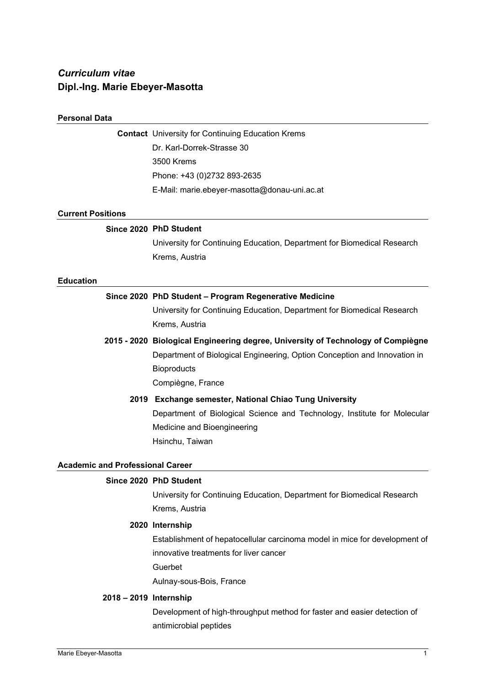# *Curriculum vitae*  **Dipl.-Ing. Marie Ebeyer-Masotta**

#### **Personal Data**

**Contact** University for Continuing Education Krems Dr. Karl-Dorrek-Strasse 30 3500 Krems Phone: +43 (0)2732 893-2635 E-Mail: marie.ebeyer-masotta@donau-uni.ac.at

#### **Current Positions**

# **Since 2020 PhD Student**

University for Continuing Education, Department for Biomedical Research Krems, Austria

#### **Education**

# **Since 2020 PhD Student – Program Regenerative Medicine**

University for Continuing Education, Department for Biomedical Research Krems, Austria

# **2015 - 2020 Biological Engineering degree, University of Technology of Compiègne**

Department of Biological Engineering, Option Conception and Innovation in **Bioproducts** 

Compiègne, France

# **2019 Exchange semester, National Chiao Tung University**  Department of Biological Science and Technology, Institute for Molecular Medicine and Bioengineering Hsinchu, Taiwan

# **Academic and Professional Career**

#### **Since 2020 PhD Student**

University for Continuing Education, Department for Biomedical Research Krems, Austria

#### **2020 Internship**

Establishment of hepatocellular carcinoma model in mice for development of innovative treatments for liver cancer Guerbet

Aulnay-sous-Bois, France

#### **2018 – 2019 Internship**

Development of high-throughput method for faster and easier detection of antimicrobial peptides